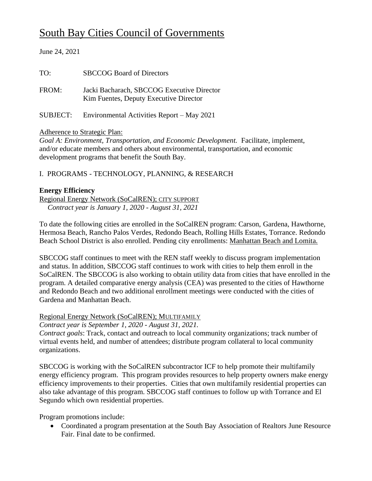# South Bay Cities Council of Governments

# June 24, 2021 TO: SBCCOG Board of Directors FROM: Jacki Bacharach, SBCCOG Executive Director Kim Fuentes, Deputy Executive Director SUBJECT: Environmental Activities Report – May 2021

# Adherence to Strategic Plan:

*Goal A: Environment, Transportation, and Economic Development.* Facilitate, implement, and/or educate members and others about environmental, transportation, and economic development programs that benefit the South Bay.

# I. PROGRAMS - TECHNOLOGY, PLANNING, & RESEARCH

# **Energy Efficiency**

Regional Energy Network (SoCalREN); CITY SUPPORT *Contract year is January 1, 2020 - August 31, 2021*

To date the following cities are enrolled in the SoCalREN program: Carson, Gardena, Hawthorne, Hermosa Beach, Rancho Palos Verdes, Redondo Beach, Rolling Hills Estates, Torrance. Redondo Beach School District is also enrolled. Pending city enrollments: Manhattan Beach and Lomita.

SBCCOG staff continues to meet with the REN staff weekly to discuss program implementation and status. In addition, SBCCOG staff continues to work with cities to help them enroll in the SoCalREN. The SBCCOG is also working to obtain utility data from cities that have enrolled in the program. A detailed comparative energy analysis (CEA) was presented to the cities of Hawthorne and Redondo Beach and two additional enrollment meetings were conducted with the cities of Gardena and Manhattan Beach.

# Regional Energy Network (SoCalREN); MULTIFAMILY

*Contract year is September 1, 2020 - August 31, 2021.*

*Contract goals*: Track, contact and outreach to local community organizations; track number of virtual events held, and number of attendees; distribute program collateral to local community organizations.

SBCCOG is working with the SoCalREN subcontractor ICF to help promote their multifamily energy efficiency program. This program provides resources to help property owners make energy efficiency improvements to their properties. Cities that own multifamily residential properties can also take advantage of this program. SBCCOG staff continues to follow up with Torrance and El Segundo which own residential properties.

Program promotions include:

• Coordinated a program presentation at the South Bay Association of Realtors June Resource Fair. Final date to be confirmed.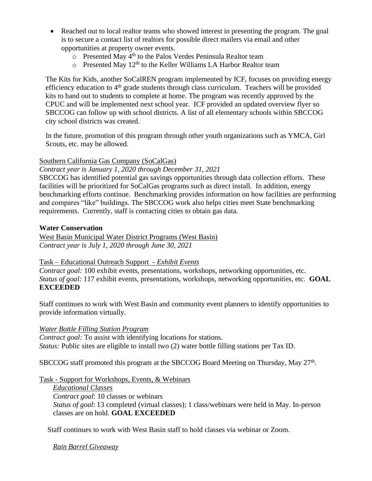- Reached out to local realtor teams who showed interest in presenting the program. The goal is to secure a contact list of realtors for possible direct mailers via email and other opportunities at property owner events.
	- $\circ$  Presented May 4<sup>th</sup> to the Palos Verdes Peninsula Realtor team
	- $\circ$  Presented May 12<sup>th</sup> to the Keller Williams LA Harbor Realtor team

The Kits for Kids, another SoCalREN program implemented by ICF, focuses on providing energy efficiency education to 4<sup>th</sup> grade students through class curriculum. Teachers will be provided kits to hand out to students to complete at home. The program was recently approved by the CPUC and will be implemented next school year. ICF provided an updated overview flyer so SBCCOG can follow up with school districts. A list of all elementary schools within SBCCOG city school districts was created.

In the future, promotion of this program through other youth organizations such as YMCA, Girl Scouts, etc. may be allowed.

# Southern California Gas Company (SoCalGas)

*Contract year is January 1, 2020 through December 31, 2021*

SBCCOG has identified potential gas savings opportunities through data collection efforts. These facilities will be prioritized for SoCalGas programs such as direct install. In addition, energy benchmarking efforts continue. Benchmarking provides information on how facilities are performing and compares "like" buildings. The SBCCOG work also helps cities meet State benchmarking requirements. Currently, staff is contacting cities to obtain gas data.

## **Water Conservation**

West Basin Municipal Water District Programs (West Basin) *Contract year is July 1, 2020 through June 30, 2021*

#### Task – Educational Outreach Support - *Exhibit Events*

*Contract goal:* 100 exhibit events, presentations, workshops, networking opportunities, etc. *Status of goal:* 117 exhibit events, presentations, workshops, networking opportunities, etc. **GOAL EXCEEDED**

Staff continues to work with West Basin and community event planners to identify opportunities to provide information virtually.

*Water Bottle Filling Station Program* 

*Contract goal:* To assist with identifying locations for stations. *Status:* Public sites are eligible to install two (2) water bottle filling stations per Tax ID.

SBCCOG staff promoted this program at the SBCCOG Board Meeting on Thursday, May 27<sup>th</sup>.

Task - Support for Workshops, Events, & Webinars

*Educational Classes Contract goal*: 10 classes or webinars *Status of goal*: 13 completed (virtual classes); 1 class/webinars were held in May. In-person classes are on hold. **GOAL EXCEEDED**

Staff continues to work with West Basin staff to hold classes via webinar or Zoom.

*Rain Barrel Giveaway*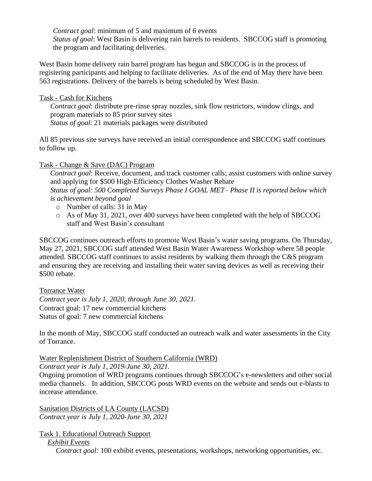*Contract goal*: minimum of 5 and maximum of 6 events *Status of goal*: West Basin is delivering rain barrels to residents. SBCCOG staff is promoting the program and facilitating deliveries.

West Basin home delivery rain barrel program has begun and SBCCOG is in the process of registering participants and helping to facilitate deliveries. As of the end of May there have been 563 registrations. Delivery of the barrels is being scheduled by West Basin.

#### Task - Cash for Kitchens

*Contract goal*: distribute pre-rinse spray nozzles, sink flow restrictors, window clings, and program materials to 85 prior survey sites *Status of goal*: 21 materials packages were distributed

All 85 previous site surveys have received an initial correspondence and SBCCOG staff continues to follow up.

## Task - Change & Save (DAC) Program

*Contract goal*: Receive, document, and track customer calls; assist customers with online survey and applying for \$500 High-Efficiency Clothes Washer Rebate *Status of goal: 500 Completed Surveys Phase I GOAL MET– Phase II is reported below which is achievement beyond goal*

- o Number of calls: 31 in May
- o As of May 31, 2021, over 400 surveys have been completed with the help of SBCCOG staff and West Basin's consultant

SBCCOG continues outreach efforts to promote West Basin's water saving programs. On Thursday, May 27, 2021, SBCCOG staff attended West Basin Water Awareness Workshop where 58 people attended. SBCCOG staff continues to assist residents by walking them through the C&S program and ensuring they are receiving and installing their water saving devices as well as receiving their \$500 rebate.

#### Torrance Water

*Contract year is July 1, 2020, through June 30, 2021.* Contract goal: 17 new commercial kitchens Status of goal: 7 new commercial kitchens

In the month of May, SBCCOG staff conducted an outreach walk and water assessments in the City of Torrance.

# Water Replenishment District of Southern California (WRD)

*Contract year is July 1, 2019-June 30, 2021.*

Ongoing promotion of WRD programs continues through SBCCOG's e-newsletters and other social media channels. In addition, SBCCOG posts WRD events on the website and sends out e-blasts to increase attendance.

Sanitation Districts of LA County (LACSD) *Contract year is July 1, 2020-June 30, 2021*

Task 1. Educational Outreach Support

*Exhibit Events*

*Contract goal:* 100 exhibit events, presentations, workshops, networking opportunities, etc.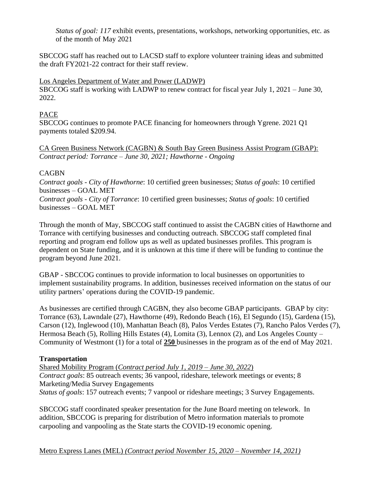*Status of goal: 117* exhibit events, presentations, workshops, networking opportunities, etc. as of the month of May 2021

SBCCOG staff has reached out to LACSD staff to explore volunteer training ideas and submitted the draft FY2021-22 contract for their staff review.

#### Los Angeles Department of Water and Power (LADWP)

SBCCOG staff is working with LADWP to renew contract for fiscal year July 1, 2021 – June 30, 2022.

#### PACE

SBCCOG continues to promote PACE financing for homeowners through Ygrene. 2021 Q1 payments totaled \$209.94.

CA Green Business Network (CAGBN) & South Bay Green Business Assist Program (GBAP): *Contract period: Torrance – June 30, 2021; Hawthorne - Ongoing*

## **CAGBN**

*Contract goals - City of Hawthorne*: 10 certified green businesses; *Status of goals*: 10 certified businesses – GOAL MET

*Contract goals - City of Torrance*: 10 certified green businesses; *Status of goals*: 10 certified businesses – GOAL MET

Through the month of May, SBCCOG staff continued to assist the CAGBN cities of Hawthorne and Torrance with certifying businesses and conducting outreach. SBCCOG staff completed final reporting and program end follow ups as well as updated businesses profiles. This program is dependent on State funding, and it is unknown at this time if there will be funding to continue the program beyond June 2021.

GBAP - SBCCOG continues to provide information to local businesses on opportunities to implement sustainability programs. In addition, businesses received information on the status of our utility partners' operations during the COVID-19 pandemic.

As businesses are certified through CAGBN, they also become GBAP participants. GBAP by city: Torrance (63), Lawndale (27), Hawthorne (49), Redondo Beach (16), El Segundo (15), Gardena (15), Carson (12), Inglewood (10), Manhattan Beach (8), Palos Verdes Estates (7), Rancho Palos Verdes (7), Hermosa Beach (5), Rolling Hills Estates (4), Lomita (3), Lennox (2), and Los Angeles County – Community of Westmont (1) for a total of **250** businesses in the program as of the end of May 2021.

# **Transportation**

Shared Mobility Program (*Contract period July 1, 2019 – June 30, 2022*) *Contract goals*: 85 outreach events; 36 vanpool, rideshare, telework meetings or events; 8 Marketing/Media Survey Engagements *Status of goals*: 157 outreach events; 7 vanpool or rideshare meetings; 3 Survey Engagements.

SBCCOG staff coordinated speaker presentation for the June Board meeting on telework. In addition, SBCCOG is preparing for distribution of Metro information materials to promote carpooling and vanpooling as the State starts the COVID-19 economic opening.

Metro Express Lanes (MEL) *(Contract period November 15, 2020 – November 14, 2021)*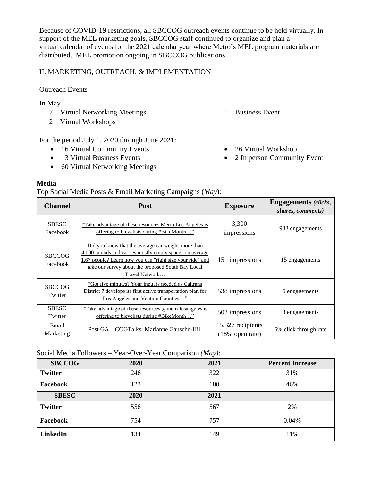Because of COVID-19 restrictions, all SBCCOG outreach events continue to be held virtually. In support of the MEL marketing goals, SBCCOG staff continued to organize and plan a virtual calendar of events for the 2021 calendar year where Metro's MEL program materials are distributed. MEL promotion ongoing in SBCCOG publications.

# II. MARKETING, OUTREACH, & IMPLEMENTATION

## **Outreach Events**

In May

- 7 Virtual Networking Meetings
- 2 Virtual Workshops

For the period July 1, 2020 through June 2021:

- 16 Virtual Community Events
- 13 Virtual Business Events
- 60 Virtual Networking Meetings

## **Media**

Top Social Media Posts & Email Marketing Campaigns (*May*):

| <b>Channel</b>            | <b>Post</b>                                                                                                                                                                                                                                       | <b>Exposure</b>                         | <b>Engagements</b> (clicks,<br>shares, comments) |
|---------------------------|---------------------------------------------------------------------------------------------------------------------------------------------------------------------------------------------------------------------------------------------------|-----------------------------------------|--------------------------------------------------|
| <b>SBESC</b><br>Facebook  | "Take advantage of these resources Metro Los Angeles is<br>offering to bicyclists during #BikeMonth"                                                                                                                                              | 3,300<br>impressions                    | 933 engagements                                  |
| <b>SBCCOG</b><br>Facebook | Did you know that the average car weighs more than<br>4,000 pounds and carries mostly empty space-on average<br>1.67 people? Learn how you can "right size your ride" and<br>take our survey about the proposed South Bay Local<br>Travel Network | 151 impressions                         | 15 engagements                                   |
| <b>SBCCOG</b><br>Twitter  | "Got five minutes? Your input is needed as Caltrans<br>District 7 develops its first active transportation plan for<br>Los Angeles and Ventura Counties"                                                                                          | 538 impressions                         | 6 engagements                                    |
| <b>SBESC</b><br>Twitter   | "Take advantage of these resources $(\partial \theta)$ metrolosangeles is<br>offering to bicyclists during #BikeMonth"                                                                                                                            | 502 impressions                         | 3 engagements                                    |
| Email<br>Marketing        | Post GA – COGTalks: Marianne Gausche-Hill                                                                                                                                                                                                         | 15,327 recipients<br>$(18\%$ open rate) | 6% click through rate                            |

#### Social Media Followers – Year-Over-Year Comparison *(May)*:

| <b>SBCCOG</b>  | 2020 | 2021 | <b>Percent Increase</b> |
|----------------|------|------|-------------------------|
| <b>Twitter</b> | 246  | 322  | 31%                     |
| Facebook       | 123  | 180  | 46%                     |
| <b>SBESC</b>   | 2020 | 2021 |                         |
| <b>Twitter</b> | 556  | 567  | 2%                      |
| Facebook       | 754  | 757  | 0.04%                   |
| LinkedIn       | 134  | 149  | 11%                     |

- 1 Business Event
- 26 Virtual Workshop
- 2 In person Community Event